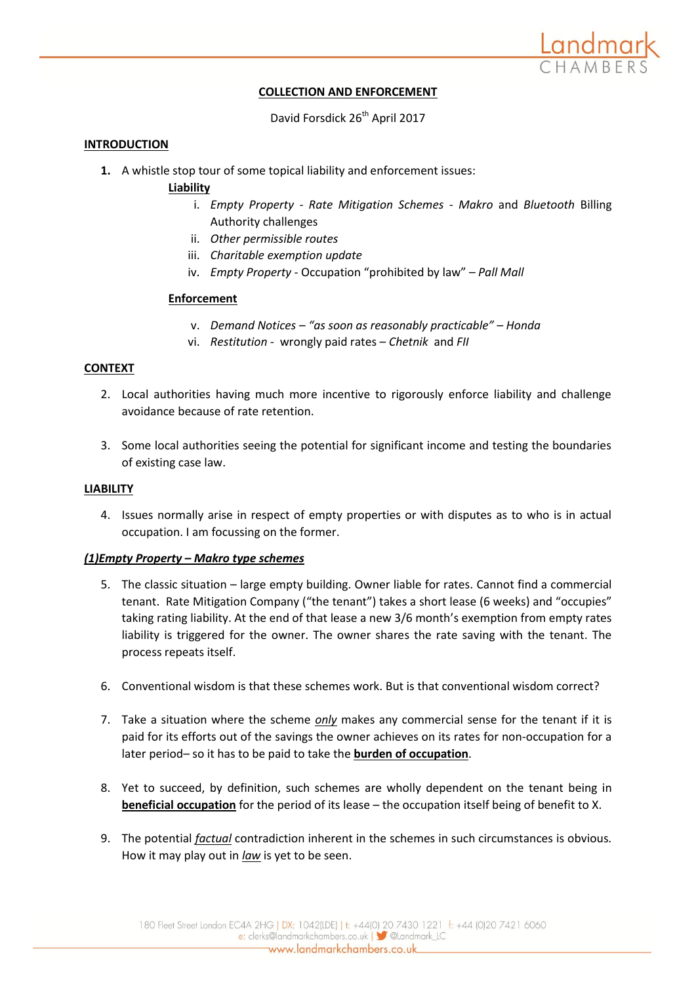

## **COLLECTION AND ENFORCEMENT**

David Forsdick 26<sup>th</sup> April 2017

#### **INTRODUCTION**

**1.** A whistle stop tour of some topical liability and enforcement issues:

## **Liability**

- i. *Empty Property - Rate Mitigation Schemes - Makro* and *Bluetooth* Billing Authority challenges
- ii. *Other permissible routes*
- iii. *Charitable exemption update*
- iv. *Empty Property*  Occupation "prohibited by law" *Pall Mall*

## **Enforcement**

- v. *Demand Notices – "as soon as reasonably practicable" – Honda*
- vi. *Restitution -* wrongly paid rates *Chetnik* and *FII*

#### **CONTEXT**

- 2. Local authorities having much more incentive to rigorously enforce liability and challenge avoidance because of rate retention.
- 3. Some local authorities seeing the potential for significant income and testing the boundaries of existing case law.

#### **LIABILITY**

4. Issues normally arise in respect of empty properties or with disputes as to who is in actual occupation. I am focussing on the former.

#### *(1)Empty Property – Makro type schemes*

- 5. The classic situation large empty building. Owner liable for rates. Cannot find a commercial tenant. Rate Mitigation Company ("the tenant") takes a short lease (6 weeks) and "occupies" taking rating liability. At the end of that lease a new 3/6 month's exemption from empty rates liability is triggered for the owner. The owner shares the rate saving with the tenant. The process repeats itself.
- 6. Conventional wisdom is that these schemes work. But is that conventional wisdom correct?
- 7. Take a situation where the scheme *only* makes any commercial sense for the tenant if it is paid for its efforts out of the savings the owner achieves on its rates for non-occupation for a later period– so it has to be paid to take the **burden of occupation**.
- 8. Yet to succeed, by definition, such schemes are wholly dependent on the tenant being in **beneficial occupation** for the period of its lease – the occupation itself being of benefit to X.
- 9. The potential *factual* contradiction inherent in the schemes in such circumstances is obvious. How it may play out in *law* is yet to be seen.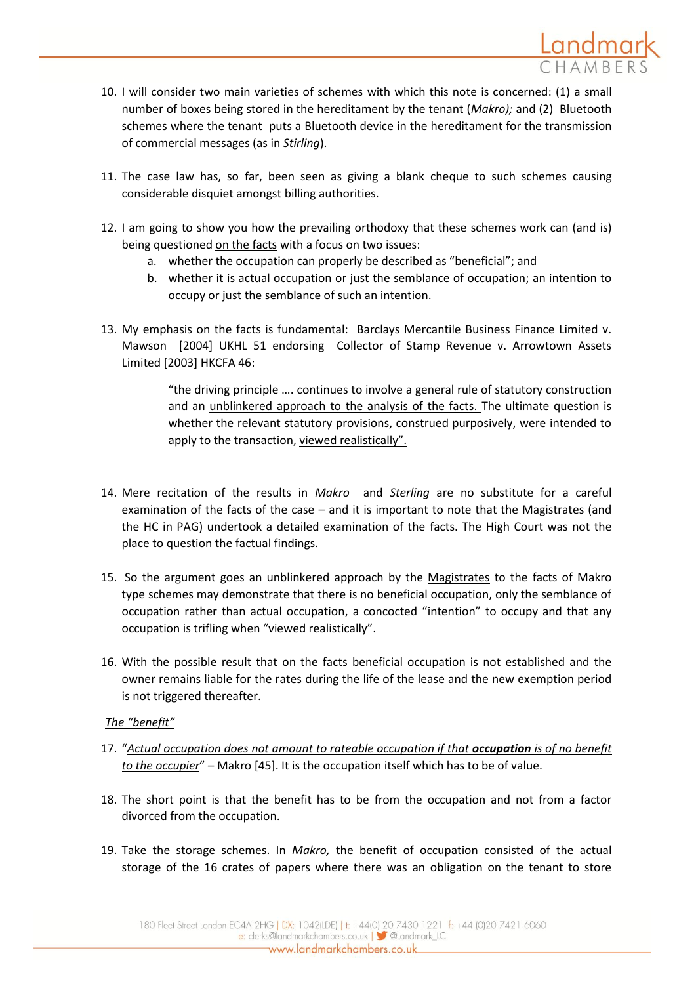

- 10. I will consider two main varieties of schemes with which this note is concerned: (1) a small number of boxes being stored in the hereditament by the tenant (*Makro);* and (2) Bluetooth schemes where the tenant puts a Bluetooth device in the hereditament for the transmission of commercial messages (as in *Stirling*).
- 11. The case law has, so far, been seen as giving a blank cheque to such schemes causing considerable disquiet amongst billing authorities.
- 12. I am going to show you how the prevailing orthodoxy that these schemes work can (and is) being questioned on the facts with a focus on two issues:
	- a. whether the occupation can properly be described as "beneficial"; and
	- b. whether it is actual occupation or just the semblance of occupation; an intention to occupy or just the semblance of such an intention.
- 13. My emphasis on the facts is fundamental: Barclays Mercantile Business Finance Limited v. Mawson [2004] UKHL 51 endorsing Collector of Stamp Revenue v. Arrowtown Assets Limited [2003] HKCFA 46:

"the driving principle …. continues to involve a general rule of statutory construction and an unblinkered approach to the analysis of the facts. The ultimate question is whether the relevant statutory provisions, construed purposively, were intended to apply to the transaction, viewed realistically".

- 14. Mere recitation of the results in *Makro* and *Sterling* are no substitute for a careful examination of the facts of the case – and it is important to note that the Magistrates (and the HC in PAG) undertook a detailed examination of the facts. The High Court was not the place to question the factual findings.
- 15. So the argument goes an unblinkered approach by the Magistrates to the facts of Makro type schemes may demonstrate that there is no beneficial occupation, only the semblance of occupation rather than actual occupation, a concocted "intention" to occupy and that any occupation is trifling when "viewed realistically".
- 16. With the possible result that on the facts beneficial occupation is not established and the owner remains liable for the rates during the life of the lease and the new exemption period is not triggered thereafter.

# *The "benefit"*

- 17. "*Actual occupation does not amount to rateable occupation if that occupation is of no benefit to the occupier*" – Makro [45]. It is the occupation itself which has to be of value.
- 18. The short point is that the benefit has to be from the occupation and not from a factor divorced from the occupation.
- 19. Take the storage schemes. In *Makro,* the benefit of occupation consisted of the actual storage of the 16 crates of papers where there was an obligation on the tenant to store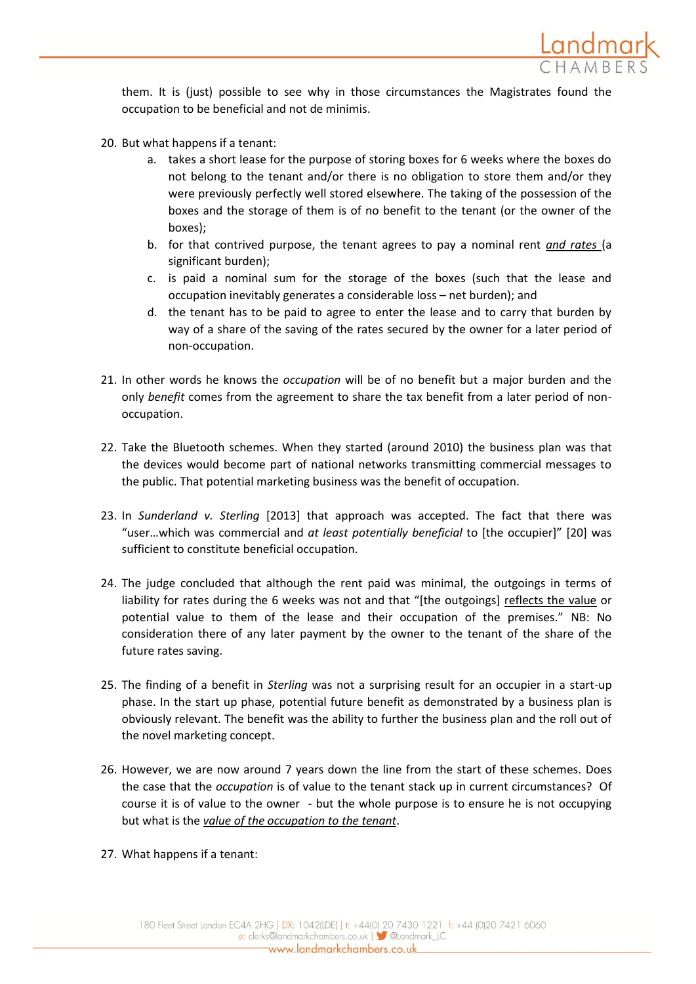

them. It is (just) possible to see why in those circumstances the Magistrates found the occupation to be beneficial and not de minimis.

- 20. But what happens if a tenant:
	- a. takes a short lease for the purpose of storing boxes for 6 weeks where the boxes do not belong to the tenant and/or there is no obligation to store them and/or they were previously perfectly well stored elsewhere. The taking of the possession of the boxes and the storage of them is of no benefit to the tenant (or the owner of the boxes);
	- b. for that contrived purpose, the tenant agrees to pay a nominal rent *and rates* (a significant burden);
	- c. is paid a nominal sum for the storage of the boxes (such that the lease and occupation inevitably generates a considerable loss – net burden); and
	- d. the tenant has to be paid to agree to enter the lease and to carry that burden by way of a share of the saving of the rates secured by the owner for a later period of non-occupation.
- 21. In other words he knows the *occupation* will be of no benefit but a major burden and the only *benefit* comes from the agreement to share the tax benefit from a later period of nonoccupation.
- 22. Take the Bluetooth schemes. When they started (around 2010) the business plan was that the devices would become part of national networks transmitting commercial messages to the public. That potential marketing business was the benefit of occupation.
- 23. In *Sunderland v. Sterling* [2013] that approach was accepted. The fact that there was "user…which was commercial and *at least potentially beneficial* to [the occupier]" [20] was sufficient to constitute beneficial occupation.
- 24. The judge concluded that although the rent paid was minimal, the outgoings in terms of liability for rates during the 6 weeks was not and that "[the outgoings] reflects the value or potential value to them of the lease and their occupation of the premises." NB: No consideration there of any later payment by the owner to the tenant of the share of the future rates saving.
- 25. The finding of a benefit in *Sterling* was not a surprising result for an occupier in a start-up phase. In the start up phase, potential future benefit as demonstrated by a business plan is obviously relevant. The benefit was the ability to further the business plan and the roll out of the novel marketing concept.
- 26. However, we are now around 7 years down the line from the start of these schemes. Does the case that the *occupation* is of value to the tenant stack up in current circumstances? Of course it is of value to the owner - but the whole purpose is to ensure he is not occupying but what is the *value of the occupation to the tenant*.
- 27. What happens if a tenant: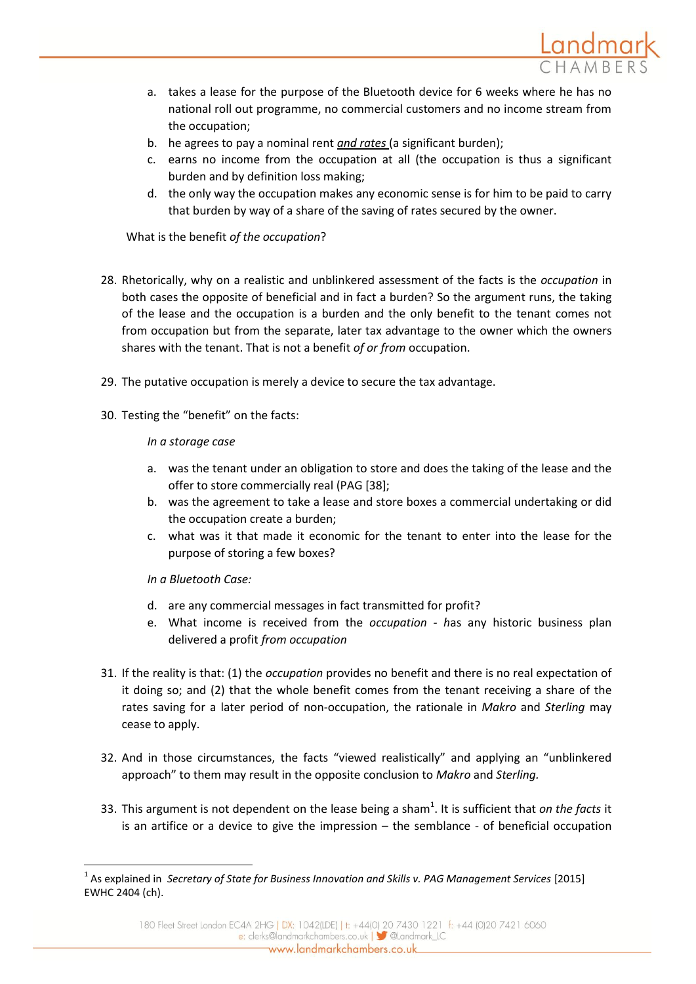

- a. takes a lease for the purpose of the Bluetooth device for 6 weeks where he has no national roll out programme, no commercial customers and no income stream from the occupation;
- b. he agrees to pay a nominal rent *and rates* (a significant burden);
- c. earns no income from the occupation at all (the occupation is thus a significant burden and by definition loss making;
- d. the only way the occupation makes any economic sense is for him to be paid to carry that burden by way of a share of the saving of rates secured by the owner.

What is the benefit *of the occupation*?

- 28. Rhetorically, why on a realistic and unblinkered assessment of the facts is the *occupation* in both cases the opposite of beneficial and in fact a burden? So the argument runs, the taking of the lease and the occupation is a burden and the only benefit to the tenant comes not from occupation but from the separate, later tax advantage to the owner which the owners shares with the tenant. That is not a benefit *of or from* occupation.
- 29. The putative occupation is merely a device to secure the tax advantage.
- 30. Testing the "benefit" on the facts:

## *In a storage case*

- a. was the tenant under an obligation to store and does the taking of the lease and the offer to store commercially real (PAG [38];
- b. was the agreement to take a lease and store boxes a commercial undertaking or did the occupation create a burden;
- c. what was it that made it economic for the tenant to enter into the lease for the purpose of storing a few boxes?

*In a Bluetooth Case:*

**.** 

- d. are any commercial messages in fact transmitted for profit?
- e. What income is received from the *occupation - h*as any historic business plan delivered a profit *from occupation*
- 31. If the reality is that: (1) the *occupation* provides no benefit and there is no real expectation of it doing so; and (2) that the whole benefit comes from the tenant receiving a share of the rates saving for a later period of non-occupation, the rationale in *Makro* and *Sterling* may cease to apply.
- 32. And in those circumstances, the facts "viewed realistically" and applying an "unblinkered approach" to them may result in the opposite conclusion to *Makro* and *Sterling.*
- 33. This argument is not dependent on the lease being a sham<sup>1</sup>. It is sufficient that *on the facts* it is an artifice or a device to give the impression – the semblance - of beneficial occupation

<sup>&</sup>lt;sup>1</sup> As explained in *Secretary of State for Business Innovation and Skills v. PAG Management Services [2015]* EWHC 2404 (ch).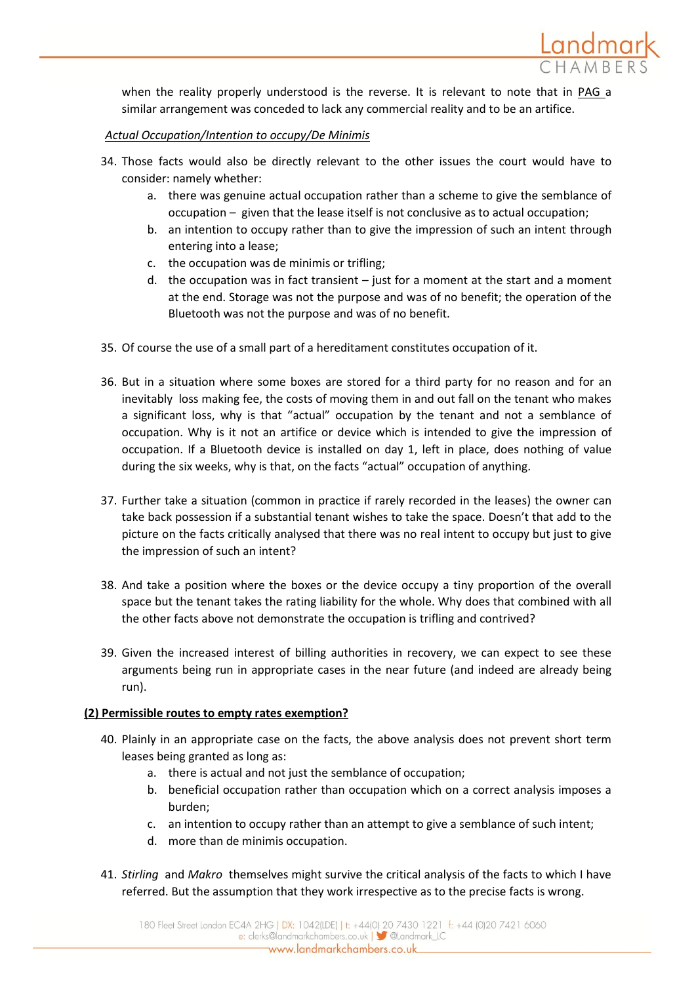

when the reality properly understood is the reverse. It is relevant to note that in PAG a similar arrangement was conceded to lack any commercial reality and to be an artifice.

## *Actual Occupation/Intention to occupy/De Minimis*

- 34. Those facts would also be directly relevant to the other issues the court would have to consider: namely whether:
	- a. there was genuine actual occupation rather than a scheme to give the semblance of occupation – given that the lease itself is not conclusive as to actual occupation;
	- b. an intention to occupy rather than to give the impression of such an intent through entering into a lease;
	- c. the occupation was de minimis or trifling;
	- d. the occupation was in fact transient just for a moment at the start and a moment at the end. Storage was not the purpose and was of no benefit; the operation of the Bluetooth was not the purpose and was of no benefit.
- 35. Of course the use of a small part of a hereditament constitutes occupation of it.
- 36. But in a situation where some boxes are stored for a third party for no reason and for an inevitably loss making fee, the costs of moving them in and out fall on the tenant who makes a significant loss, why is that "actual" occupation by the tenant and not a semblance of occupation. Why is it not an artifice or device which is intended to give the impression of occupation. If a Bluetooth device is installed on day 1, left in place, does nothing of value during the six weeks, why is that, on the facts "actual" occupation of anything.
- 37. Further take a situation (common in practice if rarely recorded in the leases) the owner can take back possession if a substantial tenant wishes to take the space. Doesn't that add to the picture on the facts critically analysed that there was no real intent to occupy but just to give the impression of such an intent?
- 38. And take a position where the boxes or the device occupy a tiny proportion of the overall space but the tenant takes the rating liability for the whole. Why does that combined with all the other facts above not demonstrate the occupation is trifling and contrived?
- 39. Given the increased interest of billing authorities in recovery, we can expect to see these arguments being run in appropriate cases in the near future (and indeed are already being run).

## **(2) Permissible routes to empty rates exemption?**

- 40. Plainly in an appropriate case on the facts, the above analysis does not prevent short term leases being granted as long as:
	- a. there is actual and not just the semblance of occupation;
	- b. beneficial occupation rather than occupation which on a correct analysis imposes a burden;
	- c. an intention to occupy rather than an attempt to give a semblance of such intent;
	- d. more than de minimis occupation.
- 41. *Stirling* and *Makro* themselves might survive the critical analysis of the facts to which I have referred. But the assumption that they work irrespective as to the precise facts is wrong.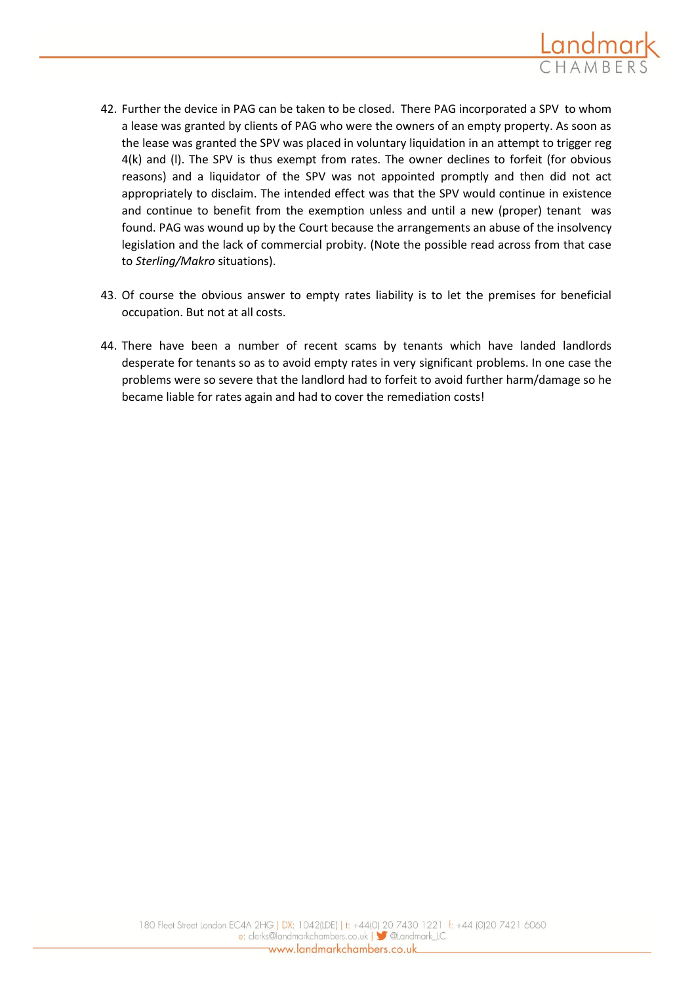

- 42. Further the device in PAG can be taken to be closed. There PAG incorporated a SPV to whom a lease was granted by clients of PAG who were the owners of an empty property. As soon as the lease was granted the SPV was placed in voluntary liquidation in an attempt to trigger reg 4(k) and (l). The SPV is thus exempt from rates. The owner declines to forfeit (for obvious reasons) and a liquidator of the SPV was not appointed promptly and then did not act appropriately to disclaim. The intended effect was that the SPV would continue in existence and continue to benefit from the exemption unless and until a new (proper) tenant was found. PAG was wound up by the Court because the arrangements an abuse of the insolvency legislation and the lack of commercial probity. (Note the possible read across from that case to *Sterling/Makro* situations).
- 43. Of course the obvious answer to empty rates liability is to let the premises for beneficial occupation. But not at all costs.
- 44. There have been a number of recent scams by tenants which have landed landlords desperate for tenants so as to avoid empty rates in very significant problems. In one case the problems were so severe that the landlord had to forfeit to avoid further harm/damage so he became liable for rates again and had to cover the remediation costs!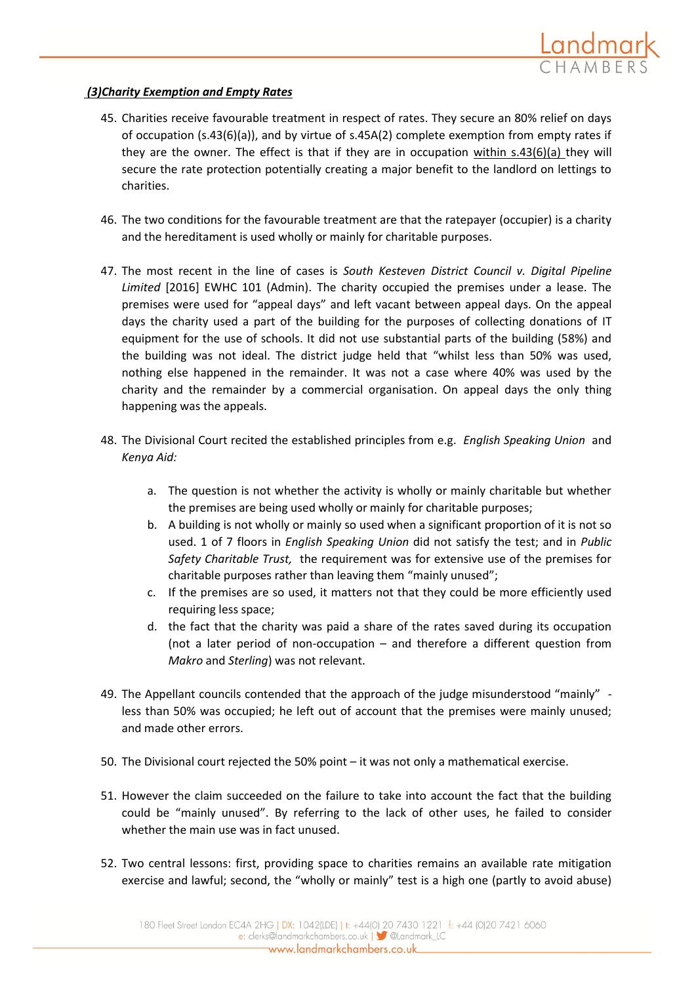

## *(3)Charity Exemption and Empty Rates*

- 45. Charities receive favourable treatment in respect of rates. They secure an 80% relief on days of occupation (s.43(6)(a)), and by virtue of s.45A(2) complete exemption from empty rates if they are the owner. The effect is that if they are in occupation within s.43(6)(a) they will secure the rate protection potentially creating a major benefit to the landlord on lettings to charities.
- 46. The two conditions for the favourable treatment are that the ratepayer (occupier) is a charity and the hereditament is used wholly or mainly for charitable purposes.
- 47. The most recent in the line of cases is *South Kesteven District Council v. Digital Pipeline Limited* [2016] EWHC 101 (Admin). The charity occupied the premises under a lease. The premises were used for "appeal days" and left vacant between appeal days. On the appeal days the charity used a part of the building for the purposes of collecting donations of IT equipment for the use of schools. It did not use substantial parts of the building (58%) and the building was not ideal. The district judge held that "whilst less than 50% was used, nothing else happened in the remainder. It was not a case where 40% was used by the charity and the remainder by a commercial organisation. On appeal days the only thing happening was the appeals.
- 48. The Divisional Court recited the established principles from e.g. *English Speaking Union* and *Kenya Aid:* 
	- a. The question is not whether the activity is wholly or mainly charitable but whether the premises are being used wholly or mainly for charitable purposes;
	- b. A building is not wholly or mainly so used when a significant proportion of it is not so used. 1 of 7 floors in *English Speaking Union* did not satisfy the test; and in *Public Safety Charitable Trust,* the requirement was for extensive use of the premises for charitable purposes rather than leaving them "mainly unused";
	- c. If the premises are so used, it matters not that they could be more efficiently used requiring less space;
	- d. the fact that the charity was paid a share of the rates saved during its occupation (not a later period of non-occupation – and therefore a different question from *Makro* and *Sterling*) was not relevant.
- 49. The Appellant councils contended that the approach of the judge misunderstood "mainly" less than 50% was occupied; he left out of account that the premises were mainly unused; and made other errors.
- 50. The Divisional court rejected the 50% point it was not only a mathematical exercise.
- 51. However the claim succeeded on the failure to take into account the fact that the building could be "mainly unused". By referring to the lack of other uses, he failed to consider whether the main use was in fact unused.
- 52. Two central lessons: first, providing space to charities remains an available rate mitigation exercise and lawful; second, the "wholly or mainly" test is a high one (partly to avoid abuse)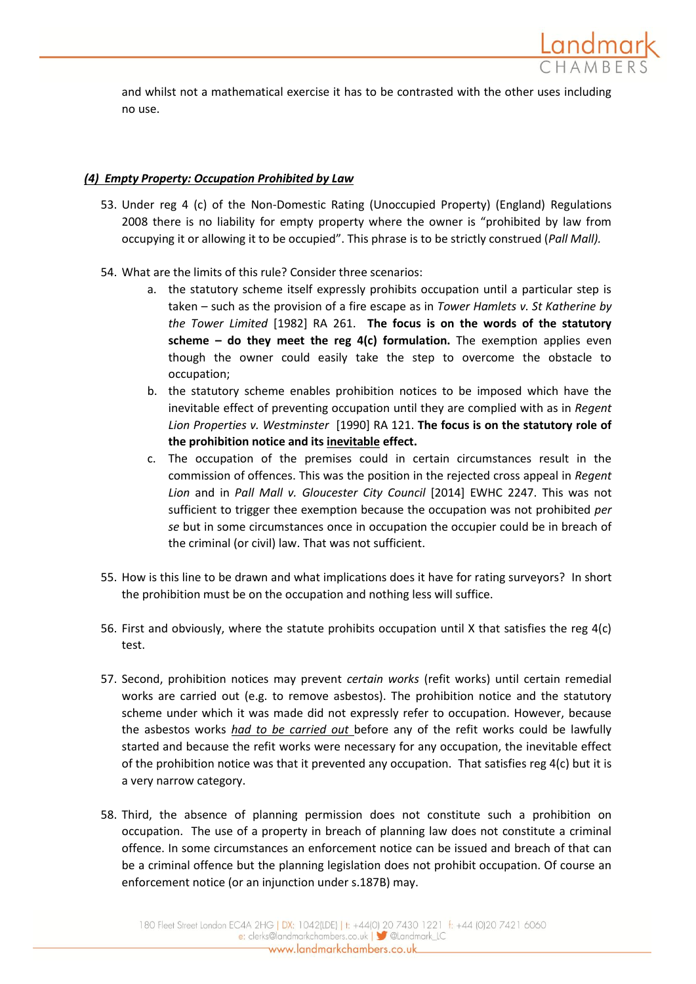

and whilst not a mathematical exercise it has to be contrasted with the other uses including no use.

## *(4) Empty Property: Occupation Prohibited by Law*

- 53. Under reg 4 (c) of the Non-Domestic Rating (Unoccupied Property) (England) Regulations 2008 there is no liability for empty property where the owner is "prohibited by law from occupying it or allowing it to be occupied". This phrase is to be strictly construed (*Pall Mall).*
- 54. What are the limits of this rule? Consider three scenarios:
	- a. the statutory scheme itself expressly prohibits occupation until a particular step is taken – such as the provision of a fire escape as in *Tower Hamlets v. St Katherine by the Tower Limited* [1982] RA 261. **The focus is on the words of the statutory scheme – do they meet the reg 4(c) formulation.** The exemption applies even though the owner could easily take the step to overcome the obstacle to occupation;
	- b. the statutory scheme enables prohibition notices to be imposed which have the inevitable effect of preventing occupation until they are complied with as in *Regent Lion Properties v. Westminster* [1990] RA 121. **The focus is on the statutory role of the prohibition notice and its inevitable effect.**
	- c. The occupation of the premises could in certain circumstances result in the commission of offences. This was the position in the rejected cross appeal in *Regent Lion* and in *Pall Mall v. Gloucester City Council* [2014] EWHC 2247. This was not sufficient to trigger thee exemption because the occupation was not prohibited *per se* but in some circumstances once in occupation the occupier could be in breach of the criminal (or civil) law. That was not sufficient.
- 55. How is this line to be drawn and what implications does it have for rating surveyors? In short the prohibition must be on the occupation and nothing less will suffice.
- 56. First and obviously, where the statute prohibits occupation until X that satisfies the reg 4(c) test.
- 57. Second, prohibition notices may prevent *certain works* (refit works) until certain remedial works are carried out (e.g. to remove asbestos). The prohibition notice and the statutory scheme under which it was made did not expressly refer to occupation. However, because the asbestos works *had to be carried out* before any of the refit works could be lawfully started and because the refit works were necessary for any occupation, the inevitable effect of the prohibition notice was that it prevented any occupation. That satisfies reg  $4(c)$  but it is a very narrow category.
- 58. Third, the absence of planning permission does not constitute such a prohibition on occupation. The use of a property in breach of planning law does not constitute a criminal offence. In some circumstances an enforcement notice can be issued and breach of that can be a criminal offence but the planning legislation does not prohibit occupation. Of course an enforcement notice (or an injunction under s.187B) may.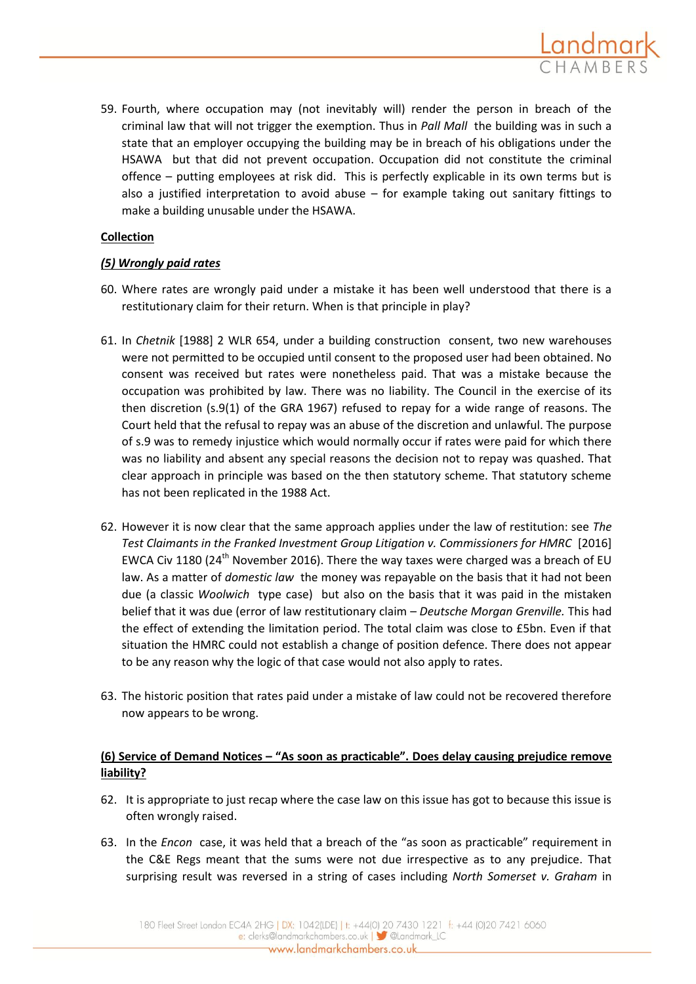

59. Fourth, where occupation may (not inevitably will) render the person in breach of the criminal law that will not trigger the exemption. Thus in *Pall Mall* the building was in such a state that an employer occupying the building may be in breach of his obligations under the HSAWA but that did not prevent occupation. Occupation did not constitute the criminal offence – putting employees at risk did. This is perfectly explicable in its own terms but is also a justified interpretation to avoid abuse  $-$  for example taking out sanitary fittings to make a building unusable under the HSAWA.

## **Collection**

## *(5) Wrongly paid rates*

- 60. Where rates are wrongly paid under a mistake it has been well understood that there is a restitutionary claim for their return. When is that principle in play?
- 61. In *Chetnik* [1988] 2 WLR 654, under a building construction consent, two new warehouses were not permitted to be occupied until consent to the proposed user had been obtained. No consent was received but rates were nonetheless paid. That was a mistake because the occupation was prohibited by law. There was no liability. The Council in the exercise of its then discretion (s.9(1) of the GRA 1967) refused to repay for a wide range of reasons. The Court held that the refusal to repay was an abuse of the discretion and unlawful. The purpose of s.9 was to remedy injustice which would normally occur if rates were paid for which there was no liability and absent any special reasons the decision not to repay was quashed. That clear approach in principle was based on the then statutory scheme. That statutory scheme has not been replicated in the 1988 Act.
- 62. However it is now clear that the same approach applies under the law of restitution: see *The Test Claimants in the Franked Investment Group Litigation v. Commissioners for HMRC* [2016] EWCA Civ 1180 (24<sup>th</sup> November 2016). There the way taxes were charged was a breach of EU law. As a matter of *domestic law* the money was repayable on the basis that it had not been due (a classic *Woolwich* type case) but also on the basis that it was paid in the mistaken belief that it was due (error of law restitutionary claim – *Deutsche Morgan Grenville.* This had the effect of extending the limitation period. The total claim was close to £5bn. Even if that situation the HMRC could not establish a change of position defence. There does not appear to be any reason why the logic of that case would not also apply to rates.
- 63. The historic position that rates paid under a mistake of law could not be recovered therefore now appears to be wrong.

# **(6) Service of Demand Notices – "As soon as practicable". Does delay causing prejudice remove liability?**

- 62. It is appropriate to just recap where the case law on this issue has got to because this issue is often wrongly raised.
- 63. In the *Encon* case, it was held that a breach of the "as soon as practicable" requirement in the C&E Regs meant that the sums were not due irrespective as to any prejudice. That surprising result was reversed in a string of cases including *North Somerset v. Graham* in